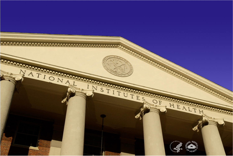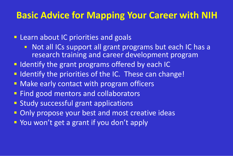#### **Basic Advice for Mapping Your Career with NIH**

#### **E** Learn about IC priorities and goals

- Not all ICs support all grant programs but each IC has a research training and career development program
- **If Identify the grant programs offered by each IC**
- I I dentify the priorities of the IC. These can change!
- **Make early contact with program officers**
- **Find good mentors and collaborators**
- **Study successful grant applications**
- **Only propose your best and most creative ideas**
- **P** You won't get a grant if you don't apply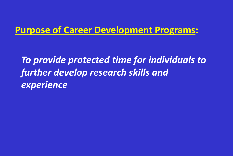#### **Purpose of Career Development Programs:**

*To provide protected time for individuals to further develop research skills and experience*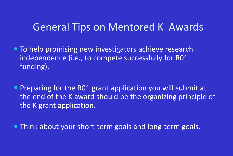#### General Tips on Mentored K Awards

- To help promising new investigators achieve research independence (i.e., to compete successfully for R01 funding).
- Preparing for the RO1 grant application you will submit at the end of the K award should be the organizing principle of the K grant application.

Think about your short-term goals and long-term goals.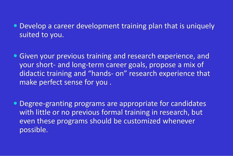- Develop a career development training plan that is uniquely suited to you.
- Given your previous training and research experience, and your short- and long-term career goals, propose a mix of didactic training and "hands- on" research experience that make perfect sense for you .
- Degree-granting programs are appropriate for candidates with little or no previous formal training in research, but even these programs should be customized whenever possible.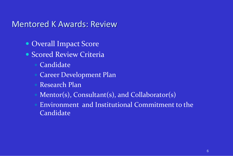#### Mentored K Awards: Review

- Overall Impact Score
- Scored Review Criteria
	- Candidate
	- Career Development Plan
	- Research Plan
	- Mentor(s), Consultant(s), and Collaborator(s)
	- Environment and Institutional Commitment to the Candidate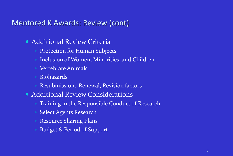#### Mentored K Awards: Review (cont)

- Additional Review Criteria
	- Protection for Human Subjects
	- Inclusion of Women, Minorities, and Children
	- Vertebrate Animals
	- Biohazards
	- Resubmission, Renewal, Revision factors
- Additional Review Considerations
	- Training in the Responsible Conduct of Research
	- Select Agents Research
	- Resource Sharing Plans
	- Budget & Period of Support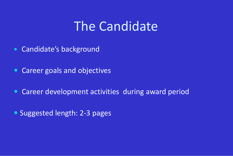### The Candidate

- Candidate's background
- Career goals and objectives
- Career development activities during award period
- Suggested length: 2-3 pages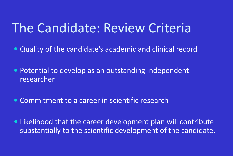## The Candidate: Review Criteria

- Quality of the candidate's academic and clinical record
- Potential to develop as an outstanding independent researcher
- Commitment to a career in scientific research
- Likelihood that the career development plan will contribute substantially to the scientific development of the candidate.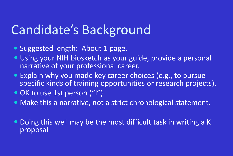## Candidate's Background

- Suggested length: About 1 page.
- Using your NIH biosketch as your guide, provide a personal narrative of your professional career.
- Explain why you made key career choices (e.g., to pursue specific kinds of training opportunities or research projects).
- OK to use 1st person ("I")
- Make this a narrative, not a strict chronological statement.
- Doing this well may be the most difficult task in writing a K proposal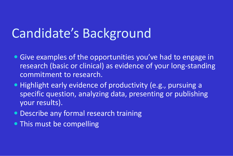# Candidate's Background

- Give examples of the opportunities you've had to engage in research (basic or clinical) as evidence of your long-standing commitment to research.
- Highlight early evidence of productivity (e.g., pursuing a specific question, analyzing data, presenting or publishing your results).
- **Describe any formal research training**
- This must be compelling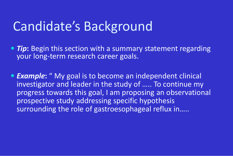## Candidate's Background

- *Tip***:** Begin this section with a summary statement regarding your long-term research career goals.
- *Example***:** " My goal is to become an independent clinical investigator and leader in the study of ….. To continue my progress towards this goal, I am proposing an observational prospective study addressing specific hypothesis surrounding the role of gastroesophageal reflux in…..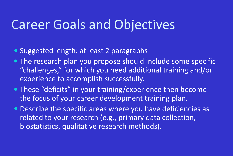## Career Goals and Objectives

- Suggested length: at least 2 paragraphs
- The research plan you propose should include some specific "challenges," for which you need additional training and/or experience to accomplish successfully.
- These "deficits" in your training/experience then become the focus of your career development training plan.
- Describe the specific areas where you have deficiencies as related to your research (e.g., primary data collection, biostatistics, qualitative research methods).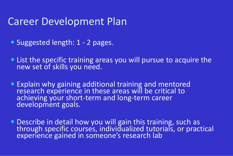### Career Development Plan

- Suggested length: 1 2 pages.
- List the specific training areas you will pursue to acquire the new set of skills you need.
- Explain why gaining additional training and mentored research experience in these areas will be critical to achieving your short-term and long-term career development goals.
- Describe in detail how you will gain this training, such as through specific courses, individualized tutorials, or practical experience gained in someone's research lab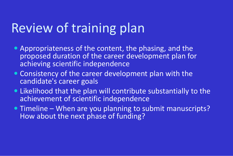# Review of training plan

- Appropriateness of the content, the phasing, and the proposed duration of the career development plan for achieving scientific independence
- Consistency of the career development plan with the candidate's career goals
- Likelihood that the plan will contribute substantially to the achievement of scientific independence
- Timeline When are you planning to submit manuscripts? How about the next phase of funding?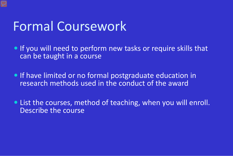# Formal Coursework

- **If you will need to perform new tasks or require skills that** can be taught in a course
- **If have limited or no formal postgraduate education in** research methods used in the conduct of the award
- List the courses, method of teaching, when you will enroll. Describe the course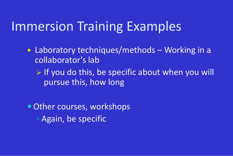# Immersion Training Examples

- Laboratory techniques/methods Working in a collaborator's lab
	- $\triangleright$  If you do this, be specific about when you will pursue this, how long

• Other courses, workshops • Again, be specific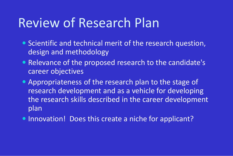## Review of Research Plan

- Scientific and technical merit of the research question, design and methodology
- Relevance of the proposed research to the candidate's career objectives
- Appropriateness of the research plan to the stage of research development and as a vehicle for developing the research skills described in the career development plan
- Innovation! Does this create a niche for applicant?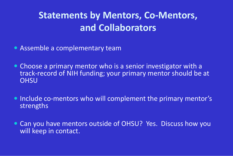### **Statements by Mentors, Co-Mentors, and Collaborators**

- Assemble a complementary team
- Choose a primary mentor who is a senior investigator with a track-record of NIH funding; your primary mentor should be at **OHSU**
- Include co-mentors who will complement the primary mentor's strengths
- Can you have mentors outside of OHSU? Yes. Discuss how you will keep in contact.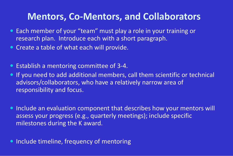#### **Mentors, Co-Mentors, and Collaborators**

- Each member of your "team" must play a role in your training or research plan. Introduce each with a short paragraph.
- **Create a table of what each will provide.**
- Establish a mentoring committee of 3-4.
- **If you need to add additional members, call them scientific or technical** advisors/collaborators, who have a relatively narrow area of responsibility and focus.
- Include an evaluation component that describes how your mentors will assess your progress (e.g., quarterly meetings); include specific milestones during the K award.
- Include timeline, frequency of mentoring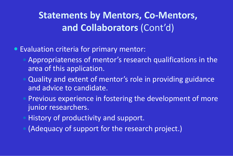### **Statements by Mentors, Co-Mentors, and Collaborators** (Cont'd)

- Evaluation criteria for primary mentor:
	- Appropriateness of mentor's research qualifications in the area of this application.
	- Quality and extent of mentor's role in providing guidance and advice to candidate.
	- Previous experience in fostering the development of more junior researchers.
	- History of productivity and support.
	- (Adequacy of support for the research project.)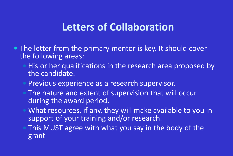### **Letters of Collaboration**

- The letter from the primary mentor is key. It should cover the following areas:
	- His or her qualifications in the research area proposed by the candidate.
	- Previous experience as a research supervisor.
	- The nature and extent of supervision that will occur during the award period.
	- What resources, if any, they will make available to you in support of your training and/or research.
	- This MUST agree with what you say in the body of the grant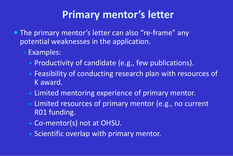### **Primary mentor's letter**

- The primary mentor's letter can also "re-frame" any potential weaknesses in the application.
	- Examples:
		- Productivity of candidate (e.g., few publications).
		- Feasibility of conducting research plan with resources of K award.
		- Limited mentoring experience of primary mentor.
		- Limited resources of primary mentor (e.g., no current R01 funding.
		- Co-mentor(s) not at OHSU.
		- Scientific overlap with primary mentor.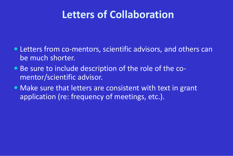### **Letters of Collaboration**

- Letters from co-mentors, scientific advisors, and others can be much shorter.
- Be sure to include description of the role of the comentor/scientific advisor.
- Make sure that letters are consistent with text in grant application (re: frequency of meetings, etc.).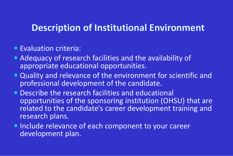#### **Description of Institutional Environment**

- Evaluation criteria:
- Adequacy of research facilities and the availability of appropriate educational opportunities.
- Quality and relevance of the environment for scientific and professional development of the candidate.
- Describe the research facilities and educational opportunities of the sponsoring institution (OHSU) that are related to the candidate's career development training and research plans.
- Include relevance of each component to your career development plan.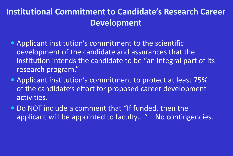#### **Institutional Commitment to Candidate's Research Career Development**

- Applicant institution's commitment to the scientific development of the candidate and assurances that the institution intends the candidate to be "an integral part of its research program."
- Applicant institution's commitment to protect at least 75% of the candidate's effort for proposed career development activities.
- Do NOT include a comment that "If funded, then the applicant will be appointed to faculty...." No contingencies.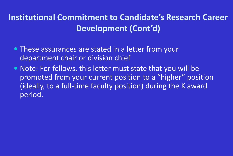#### **Institutional Commitment to Candidate's Research Career Development (Cont'd)**

- These assurances are stated in a letter from your department chair or division chief
- Note: For fellows, this letter must state that you will be promoted from your current position to a "higher" position (ideally, to a full-time faculty position) during the K award period.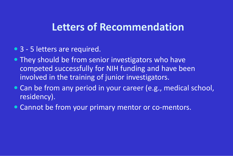### **Letters of Recommendation**

- 3 5 letters are required.
- They should be from senior investigators who have competed successfully for NIH funding and have been involved in the training of junior investigators.
- Can be from any period in your career (e.g., medical school, residency).
- Cannot be from your primary mentor or co-mentors.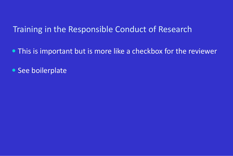#### Training in the Responsible Conduct of Research

- This is important but is more like a checkbox for the reviewer
- See boilerplate